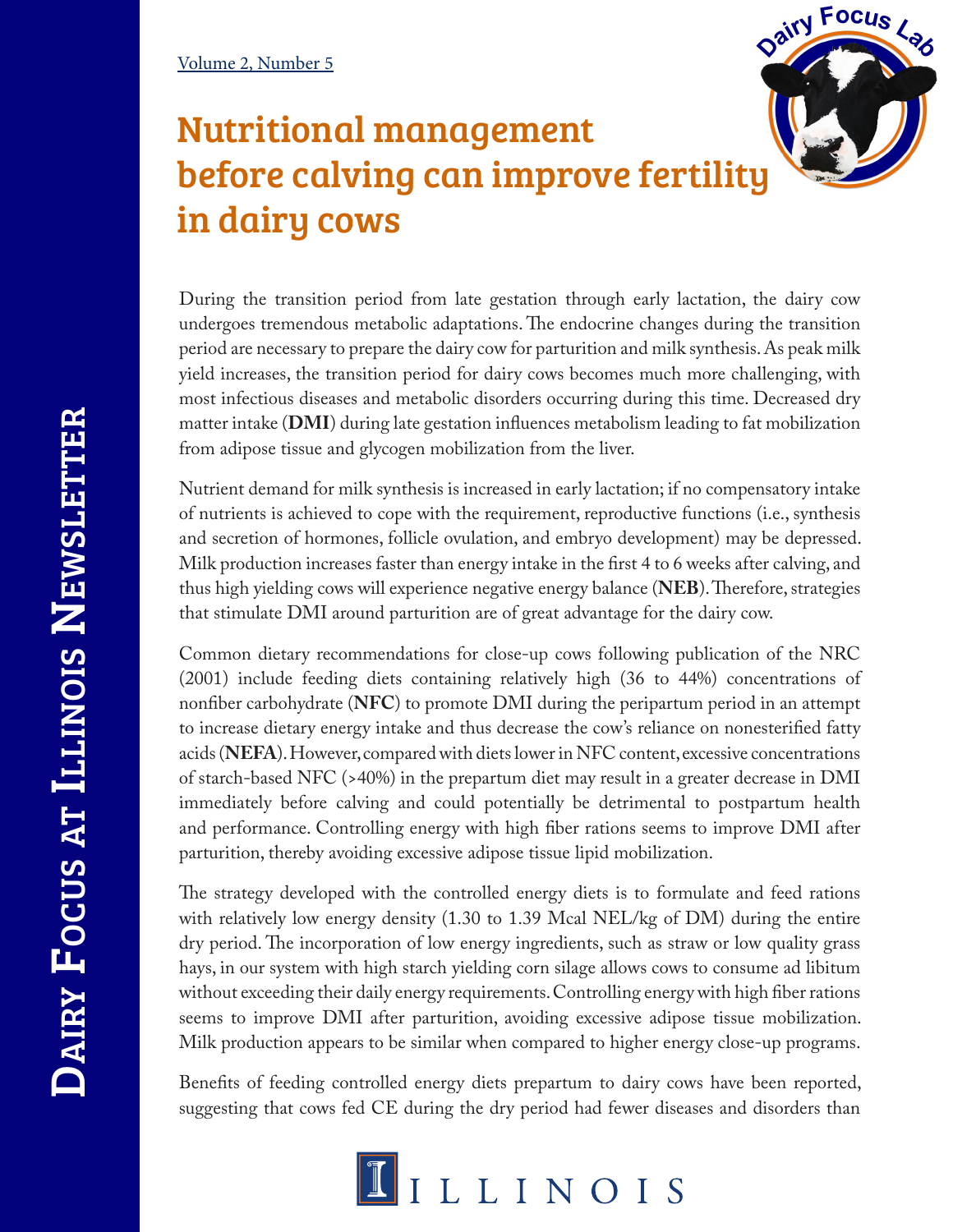## Nutritional management before calving can improve fertility in dairy cows

During the transition period from late gestation through early lactation, the dairy cow undergoes tremendous metabolic adaptations. The endocrine changes during the transition period are necessary to prepare the dairy cow for parturition and milk synthesis. As peak milk yield increases, the transition period for dairy cows becomes much more challenging, with most infectious diseases and metabolic disorders occurring during this time. Decreased dry matter intake (**DMI**) during late gestation influences metabolism leading to fat mobilization from adipose tissue and glycogen mobilization from the liver.

Dairy Focus Lab

Nutrient demand for milk synthesis is increased in early lactation; if no compensatory intake of nutrients is achieved to cope with the requirement, reproductive functions (i.e., synthesis and secretion of hormones, follicle ovulation, and embryo development) may be depressed. Milk production increases faster than energy intake in the first 4 to 6 weeks after calving, and thus high yielding cows will experience negative energy balance (**NEB**). Therefore, strategies that stimulate DMI around parturition are of great advantage for the dairy cow.

Common dietary recommendations for close-up cows following publication of the NRC (2001) include feeding diets containing relatively high (36 to 44%) concentrations of nonfiber carbohydrate (**NFC**) to promote DMI during the peripartum period in an attempt to increase dietary energy intake and thus decrease the cow's reliance on nonesterified fatty acids (**NEFA**). However, compared with diets lower in NFC content, excessive concentrations of starch-based NFC (>40%) in the prepartum diet may result in a greater decrease in DMI immediately before calving and could potentially be detrimental to postpartum health and performance. Controlling energy with high fiber rations seems to improve DMI after parturition, thereby avoiding excessive adipose tissue lipid mobilization.

The strategy developed with the controlled energy diets is to formulate and feed rations with relatively low energy density (1.30 to 1.39 Mcal NEL/kg of DM) during the entire dry period. The incorporation of low energy ingredients, such as straw or low quality grass hays, in our system with high starch yielding corn silage allows cows to consume ad libitum without exceeding their daily energy requirements. Controlling energy with high fiber rations seems to improve DMI after parturition, avoiding excessive adipose tissue mobilization. Milk production appears to be similar when compared to higher energy close-up programs.

Benefits of feeding controlled energy diets prepartum to dairy cows have been reported, suggesting that cows fed CE during the dry period had fewer diseases and disorders than

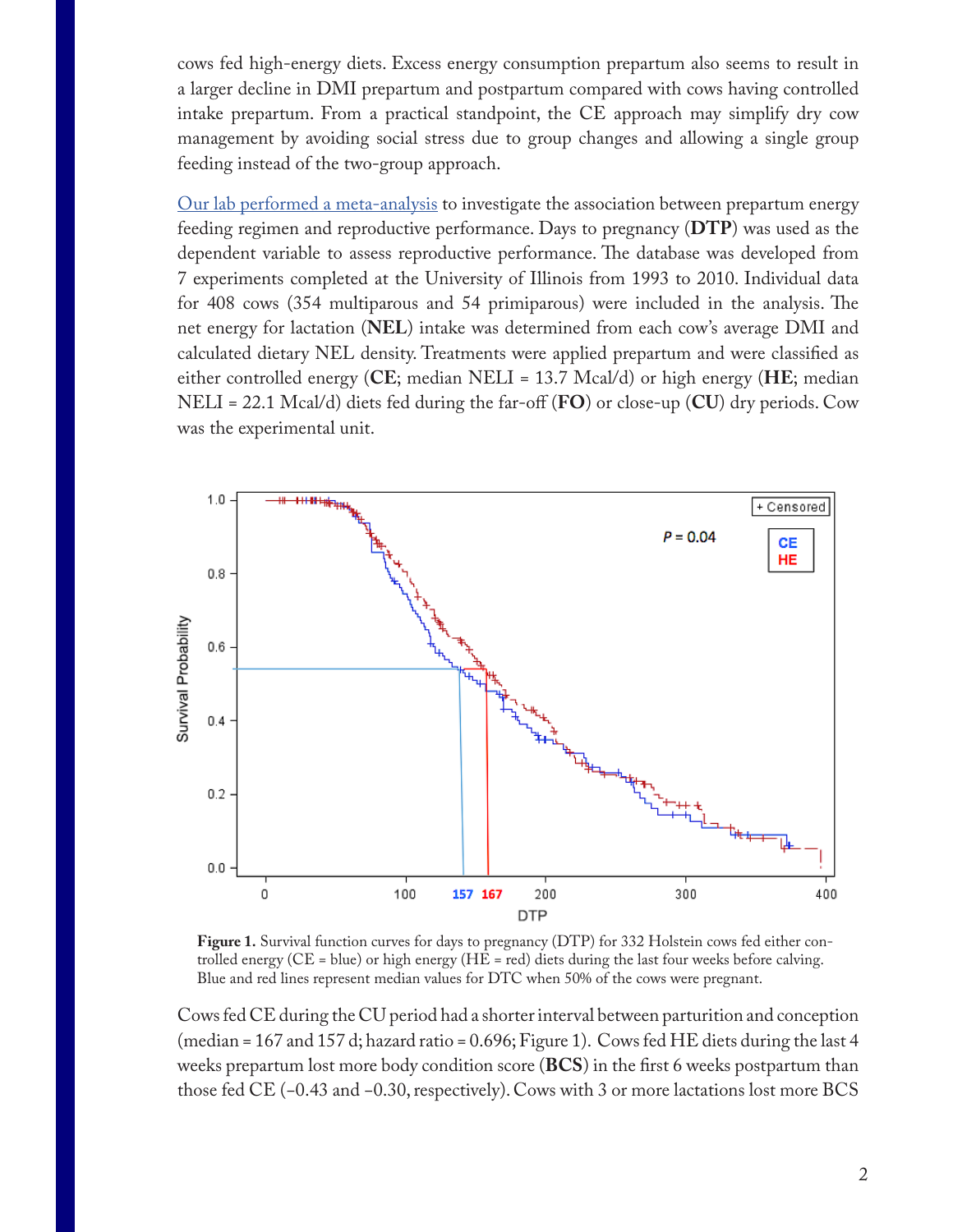cows fed high-energy diets. Excess energy consumption prepartum also seems to result in a larger decline in DMI prepartum and postpartum compared with cows having controlled intake prepartum. From a practical standpoint, the CE approach may simplify dry cow management by avoiding social stress due to group changes and allowing a single group feeding instead of the two-group approach.

Our lab performed a meta-analysis to investigate the association between prepartum energy feeding regimen and reproductive performance. Days to pregnancy (**DTP**) was used as the dependent variable to assess reproductive performance. The database was developed from 7 experiments completed at the University of Illinois from 1993 to 2010. Individual data for 408 cows (354 multiparous and 54 primiparous) were included in the analysis. The net energy for lactation (**NEL**) intake was determined from each cow's average DMI and calculated dietary NEL density. Treatments were applied prepartum and were classified as either controlled energy (**CE**; median NELI = 13.7 Mcal/d) or high energy (**HE**; median NELI = 22.1 Mcal/d) diets fed during the far-off (**FO**) or close-up (**CU**) dry periods. Cow was the experimental unit.



**Figure 1.** Survival function curves for days to pregnancy (DTP) for 332 Holstein cows fed either controlled energy (CE = blue) or high energy (HE = red) diets during the last four weeks before calving. Blue and red lines represent median values for DTC when 50% of the cows were pregnant.

Cows fed CE during the CU period had a shorter interval between parturition and conception (median = 167 and 157 d; hazard ratio = 0.696; Figure 1). Cows fed HE diets during the last 4 weeks prepartum lost more body condition score (**BCS**) in the first 6 weeks postpartum than those fed CE (−0.43 and −0.30, respectively). Cows with 3 or more lactations lost more BCS